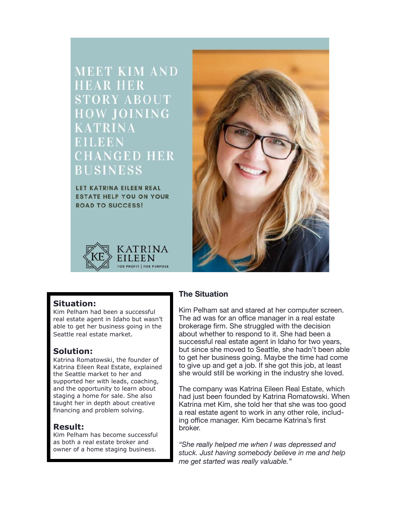**MEET KIM AND HEAR HER TORY ABOUT** W JOINING **HANGED HER BUSINESS** 

LET KATRINA EILEEN REAL **ESTATE HELP YOU ON YOUR ROAD TO SUCCESS!** 





# **Situation:**

Kim Pelham had been a successful real estate agent in Idaho but wasn't able to get her business going in the Seattle real estate market.

# **Solution:**

Katrina Romatowski, the founder of Katrina Eileen Real Estate, explained the Seattle market to her and supported her with leads, coaching, and the opportunity to learn about staging a home for sale. She also taught her in depth about creative financing and problem solving.

# **Result:**

Kim Pelham has become successful as both a real estate broker and owner of a home staging business.

# **The Situation**

Kim Pelham sat and stared at her computer screen. The ad was for an office manager in a real estate brokerage firm. She struggled with the decision about whether to respond to it. She had been a successful real estate agent in Idaho for two years, but since she moved to Seattle, she hadn't been able to get her business going. Maybe the time had come to give up and get a job. If she got this job, at least she would still be working in the industry she loved.

The company was Katrina Eileen Real Estate, which had just been founded by Katrina Romatowski. When Katrina met Kim, she told her that she was too good a real estate agent to work in any other role, including office manager. Kim became Katrina's first broker.

*"She really helped me when I was depressed and stuck. Just having somebody believe in me and help me get started was really valuable."*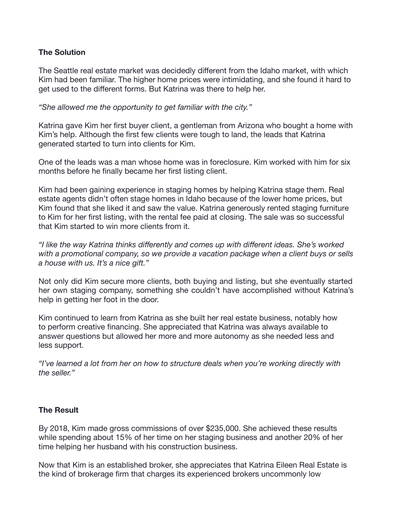### **The Solution**

The Seattle real estate market was decidedly different from the Idaho market, with which Kim had been familiar. The higher home prices were intimidating, and she found it hard to get used to the different forms. But Katrina was there to help her.

*"She allowed me the opportunity to get familiar with the city."*

Katrina gave Kim her first buyer client, a gentleman from Arizona who bought a home with Kim's help. Although the first few clients were tough to land, the leads that Katrina generated started to turn into clients for Kim.

One of the leads was a man whose home was in foreclosure. Kim worked with him for six months before he finally became her first listing client.

Kim had been gaining experience in staging homes by helping Katrina stage them. Real estate agents didn't often stage homes in Idaho because of the lower home prices, but Kim found that she liked it and saw the value. Katrina generously rented staging furniture to Kim for her first listing, with the rental fee paid at closing. The sale was so successful that Kim started to win more clients from it.

*"I like the way Katrina thinks differently and comes up with different ideas. She's worked with a promotional company, so we provide a vacation package when a client buys or sells a house with us. It's a nice gift."*

Not only did Kim secure more clients, both buying and listing, but she eventually started her own staging company, something she couldn't have accomplished without Katrina's help in getting her foot in the door.

Kim continued to learn from Katrina as she built her real estate business, notably how to perform creative financing. She appreciated that Katrina was always available to answer questions but allowed her more and more autonomy as she needed less and less support.

*"I've learned a lot from her on how to structure deals when you're working directly with the seller."*

### **The Result**

By 2018, Kim made gross commissions of over \$235,000. She achieved these results while spending about 15% of her time on her staging business and another 20% of her time helping her husband with his construction business.

Now that Kim is an established broker, she appreciates that Katrina Eileen Real Estate is the kind of brokerage firm that charges its experienced brokers uncommonly low